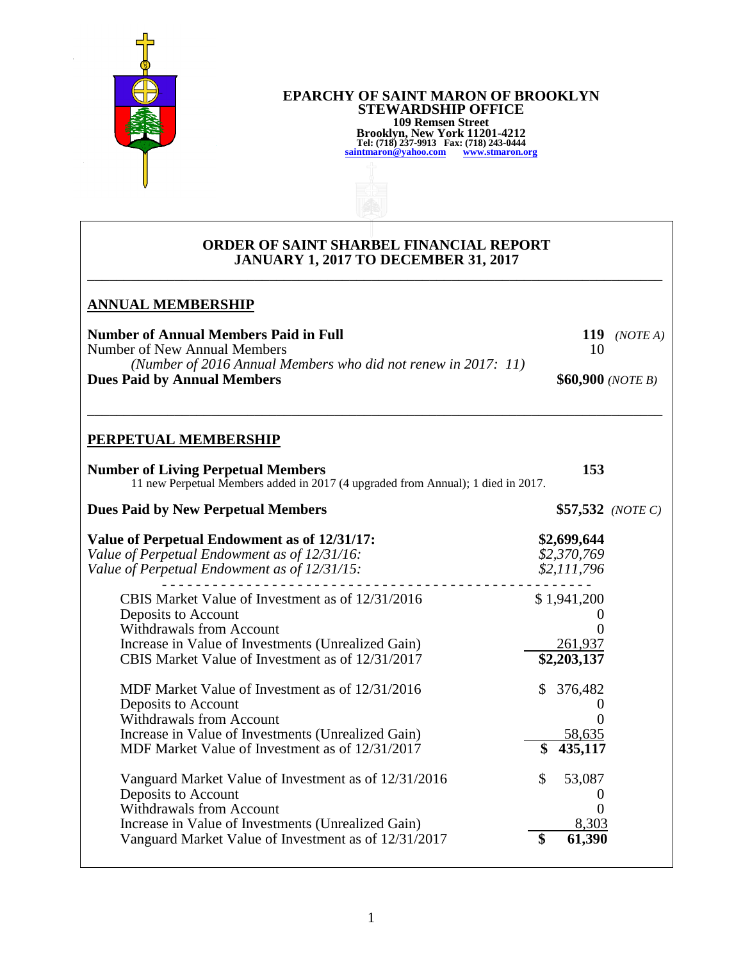

#### **EPARCHY OF SAINT MARON OF BROOKLYN STEWARDSHIP OFFICE 109 Remsen Street Brooklyn, New York 11201-4212 Tel: (718) 237-9913 Fax: (718) 243-0444 [saintmaron@yahoo.com](mailto:saintmaron@yahoo.com) [www.stmaron.org](http://www.stmaron.org/)**

## **ORDER OF SAINT SHARBEL FINANCIAL REPORT JANUARY 1, 2017 TO DECEMBER 31, 2017**

\_\_\_\_\_\_\_\_\_\_\_\_\_\_\_\_\_\_\_\_\_\_\_\_\_\_\_\_\_\_\_\_\_\_\_\_\_\_\_\_\_\_\_\_\_\_\_\_\_\_\_\_\_\_\_\_\_\_\_\_\_\_\_\_\_\_\_\_\_\_\_\_\_\_\_\_\_\_\_

\_\_\_\_\_\_\_\_\_\_\_\_\_\_\_\_\_\_\_\_\_\_\_\_\_\_\_\_\_\_\_\_\_\_\_\_\_\_\_\_\_\_\_\_\_\_\_\_\_\_\_\_\_\_\_\_\_\_\_\_\_\_\_\_\_\_\_\_\_\_\_\_\_\_\_\_\_\_\_

# **ANNUAL MEMBERSHIP**

Number of Annual Members Paid in Full 119 *(NOTE A)* Number of New Annual Members 10 *(Number of 2016 Annual Members who did not renew in 2017: 11)*  **Dues Paid by Annual Members**  $$60,900$  *(NOTE B)* 

# **PERPETUAL MEMBERSHIP**

| <b>Number of Living Perpetual Members</b><br>11 new Perpetual Members added in 2017 (4 upgraded from Annual); 1 died in 2017.                                                                                                | 153                                                 |  |
|------------------------------------------------------------------------------------------------------------------------------------------------------------------------------------------------------------------------------|-----------------------------------------------------|--|
| <b>Dues Paid by New Perpetual Members</b>                                                                                                                                                                                    | $$57,532$ (NOTE C)                                  |  |
| Value of Perpetual Endowment as of 12/31/17:<br>Value of Perpetual Endowment as of 12/31/16:<br>Value of Perpetual Endowment as of 12/31/15:                                                                                 | \$2,699,644<br>\$2,370,769<br>\$2,111,796           |  |
| CBIS Market Value of Investment as of 12/31/2016<br>Deposits to Account<br><b>Withdrawals from Account</b><br>Increase in Value of Investments (Unrealized Gain)<br>CBIS Market Value of Investment as of 12/31/2017         | \$1,941,200<br>261,937<br>\$2,203,137               |  |
| MDF Market Value of Investment as of 12/31/2016<br>Deposits to Account<br><b>Withdrawals from Account</b><br>Increase in Value of Investments (Unrealized Gain)<br>MDF Market Value of Investment as of 12/31/2017           | 376,482<br>$\mathcal{S}$<br>58,635<br>\$<br>435,117 |  |
| Vanguard Market Value of Investment as of 12/31/2016<br>Deposits to Account<br><b>Withdrawals from Account</b><br>Increase in Value of Investments (Unrealized Gain)<br>Vanguard Market Value of Investment as of 12/31/2017 | \$<br>53,087<br>U<br>8,303<br>\$<br>61,390          |  |